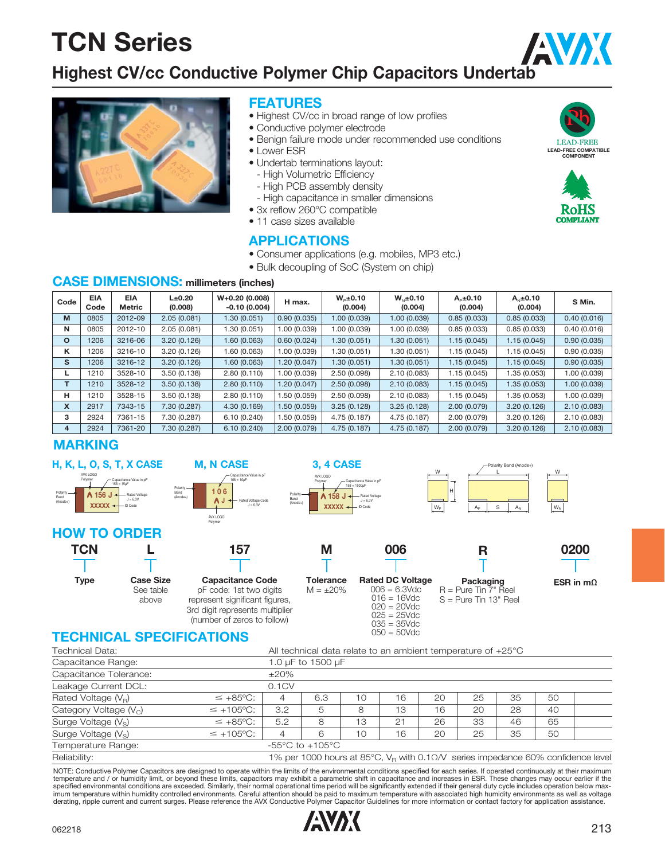## AVX **Highest CV/cc Conductive Polymer Chip Capacitors Undertab**



#### **FEATURES**

- Highest CV/cc in broad range of low profiles
- Conductive polymer electrode
- Benign failure mode under recommended use conditions
- Lower ESR
- Undertab terminations layout:
- High Volumetric Efficiency
- High PCB assembly density
- High capacitance in smaller dimensions
- 3x reflow 260°C compatible
- 11 case sizes available

#### **APPLICATIONS**

- Consumer applications (e.g. mobiles, MP3 etc.)
- Bulk decoupling of SoC (System on chip)

#### **CASE DIMENSIONS: millimeters (inches)**

| Code    | <b>EIA</b><br>Code | <b>EIA</b><br>Metric | $L\pm 0.20$<br>(0.008) | $W+0.20(0.008)$<br>$-0.10(0.004)$ | H max.      | $W_{p} \pm 0.10$<br>(0.004) | $W_{N} \pm 0.10$<br>(0.004) | $Ap \pm 0.10$<br>(0.004) | $A_{N} \pm 0.10$<br>(0.004) | S Min.       |
|---------|--------------------|----------------------|------------------------|-----------------------------------|-------------|-----------------------------|-----------------------------|--------------------------|-----------------------------|--------------|
| M       | 0805               | 2012-09              | 2.05(0.081)            | 1.30(0.051)                       | 0.90(0.035) | 1.00 (0.039)                | 1.00 (0.039)                | 0.85(0.033)              | 0.85(0.033)                 | 0.40(0.016)  |
| N       | 0805               | 2012-10              | 2.05(0.081)            | 1.30 (0.051)                      | 1.00(0.039) | 1.00 (0.039)                | 1.00 (0.039)                | 0.85(0.033)              | 0.85(0.033)                 | 0.40(0.016)  |
| $\circ$ | 1206               | 3216-06              | 3.20(0.126)            | 1.60(0.063)                       | 0.60(0.024) | 1.30(0.051)                 | 1.30 (0.051)                | 1.15(0.045)              | 1.15(0.045)                 | 0.90(0.035)  |
| κ       | 1206               | 3216-10              | 3.20(0.126)            | 1.60 (0.063)                      | 1.00(0.039) | 1.30 (0.051)                | 1.30 (0.051)                | 1.15(0.045)              | 1.15 (0.045)                | 0.90(0.035)  |
| s       | 1206               | 3216-12              | 3.20(0.126)            | 1.60(0.063)                       | 1.20(0.047) | 1.30 (0.051)                | 1.30 (0.051)                | 1.15(0.045)              | 1.15(0.045)                 | 0.90(0.035)  |
| L       | 1210               | 3528-10              | 3.50(0.138)            | 2.80(0.110)                       | 1.00(0.039) | 2.50(0.098)                 | 2.10(0.083)                 | 1.15(0.045)              | 1.35(0.053)                 | 1.00 (0.039) |
| T       | 1210               | 3528-12              | 3.50(0.138)            | 2.80(0.110)                       | 1.20(0.047) | 2.50(0.098)                 | 2.10(0.083)                 | 1.15(0.045)              | 1.35(0.053)                 | 1.00 (0.039) |
| н       | 1210               | 3528-15              | 3.50(0.138)            | 2.80(0.110)                       | 1.50(0.059) | 2.50(0.098)                 | 2.10(0.083)                 | 1.15(0.045)              | 1.35 (0.053)                | 1.00 (0.039) |
| X       | 2917               | 7343-15              | 7.30 (0.287)           | 4.30(0.169)                       | 1.50(0.059) | 3.25(0.128)                 | 3.25(0.128)                 | 2.00(0.079)              | 3.20(0.126)                 | 2.10(0.083)  |
| з       | 2924               | 7361-15              | 7.30 (0.287)           | 6.10(0.240)                       | 1.50(0.059) | 4.75 (0.187)                | 4.75 (0.187)                | 2.00(0.079)              | 3.20(0.126)                 | 2.10(0.083)  |
| 4       | 2924               | 7361-20              | 7.30 (0.287)           | 6.10(0.240)                       | 2.00(0.079) | 4.75(0.187)                 | 4.75(0.187)                 | 2.00(0.079)              | 3.20(0.126)                 | 2.10(0.083)  |

#### **MARKING**



#### **TECHNICAL SPECIFICATIONS**

| Technical Data:         | All technical data relate to an ambient temperature of $+25^{\circ}$ C                            |                |                                     |    |    |    |    |    |    |  |
|-------------------------|---------------------------------------------------------------------------------------------------|----------------|-------------------------------------|----|----|----|----|----|----|--|
| Capacitance Range:      | 1.0 µF to 1500 µF                                                                                 |                |                                     |    |    |    |    |    |    |  |
| Capacitance Tolerance:  | $\pm 20\%$                                                                                        |                |                                     |    |    |    |    |    |    |  |
| Leakage Current DCL:    |                                                                                                   | 0.1CV          |                                     |    |    |    |    |    |    |  |
| Rated Voltage $(V_R)$   | $\leq +85^{\circ}C$ :                                                                             | 4              | 6.3                                 | 10 | 16 | 20 | 25 | 35 | 50 |  |
| Category Voltage $(Vc)$ | $\leq$ +105°C:                                                                                    | 3.2            | 5                                   | 8  | 13 | 16 | 20 | 28 | 40 |  |
| Surge Voltage $(V_s)$   | $\leq +85^{\circ}C$ :                                                                             | 5.2            | 8                                   | 13 | 21 | 26 | 33 | 46 | 65 |  |
| Surge Voltage $(V_s)$   | $\leq$ +105°C:                                                                                    | $\overline{4}$ | 6                                   | 10 | 16 | 20 | 25 | 35 | 50 |  |
| Temperature Range:      |                                                                                                   |                | $-55^{\circ}$ C to $+105^{\circ}$ C |    |    |    |    |    |    |  |
| Reliability:            | 1% per 1000 hours at 85°C, $V_{\rm B}$ with 0.1 $\Omega$ /V series impedance 60% confidence level |                |                                     |    |    |    |    |    |    |  |

NOTE: Conductive Polymer Capacitors are designed to operate within the limits of the environmental conditions specified for each series. If operated continuously at their maximum temperature and / or humidity limit, or beyond these limits, capacitors may exhibit a parametric shift in capacitance and increases in ESR. These changes may occur earlier if the specified environmental conditions are exceeded. Similarly, their normal operational time period will be significantly extended if their general duty cycle includes operation below max-<br>imum temperature within humidity con derating, ripple current and current surges. Please reference the AVX Conductive Polymer Capacitor Guidelines for more information or contact factory for application assistance.





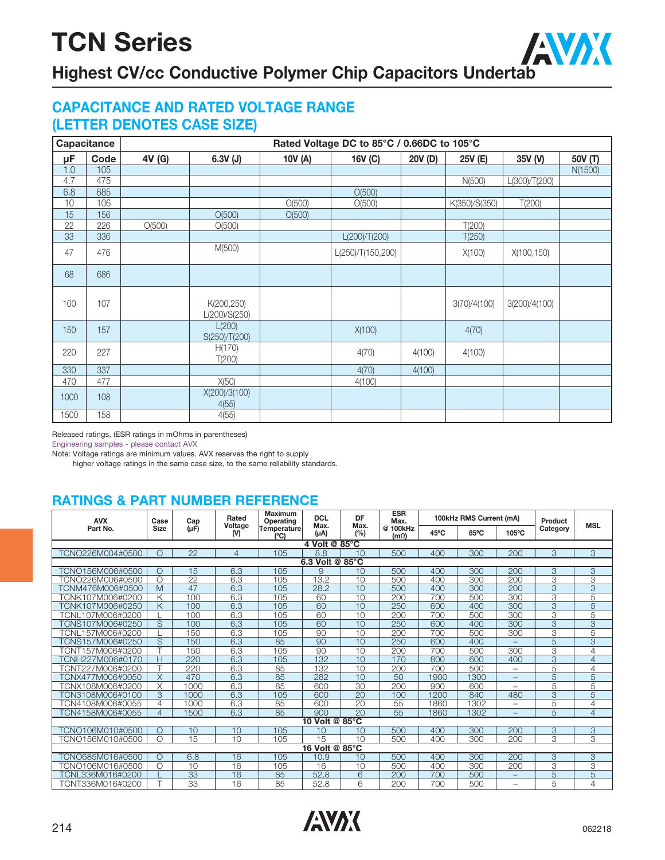

## **Highest CV/cc Conductive Polymer Chip Capacitors Undertab**

### **CAPACITANCE AND RATED VOLTAGE RANGE (LETTER DENOTES CASE SIZE)**

|      | Capacitance |        |                             |         | Rated Voltage DC to 85°C / 0.66DC to 105°C |         |               |               |         |
|------|-------------|--------|-----------------------------|---------|--------------------------------------------|---------|---------------|---------------|---------|
| μF   | Code        | 4V (G) | $6.3V$ (J)                  | 10V (A) | 16V (C)                                    | 20V (D) | 25V (E)       | 35V (V)       | 50V (T) |
| 1.0  | 105         |        |                             |         |                                            |         |               |               | N(1500) |
| 4.7  | 475         |        |                             |         |                                            |         | N(500)        | L(300)/T(200) |         |
| 6.8  | 685         |        |                             |         | O(500)                                     |         |               |               |         |
| 10   | 106         |        |                             | O(500)  | O(500)                                     |         | K(350)/S(350) | T(200)        |         |
| 15   | 156         |        | O(500)                      | O(500)  |                                            |         |               |               |         |
| 22   | 226         | O(500) | O(500)                      |         |                                            |         | T(200)        |               |         |
| 33   | 336         |        |                             |         | L(200)/T(200)                              |         | T(250)        |               |         |
| 47   | 476         |        | M(500)                      |         | L(250)/T(150,200)                          |         | X(100)        | X(100,150)    |         |
| 68   | 686         |        |                             |         |                                            |         |               |               |         |
| 100  | 107         |        | K(200,250)<br>L(200)/S(250) |         |                                            |         | 3(70)/4(100)  | 3(200)/4(100) |         |
| 150  | 157         |        | L(200)<br>S(250)/T(200)     |         | X(100)                                     |         | 4(70)         |               |         |
| 220  | 227         |        | H(170)<br>T(200)            |         | 4(70)                                      | 4(100)  | 4(100)        |               |         |
| 330  | 337         |        |                             |         | 4(70)                                      | 4(100)  |               |               |         |
| 470  | 477         |        | X(50)                       |         | 4(100)                                     |         |               |               |         |
| 1000 | 108         |        | X(200)/3(100)<br>4(55)      |         |                                            |         |               |               |         |
| 1500 | 158         |        | 4(55)                       |         |                                            |         |               |               |         |

Released ratings, (ESR ratings in mOhms in parentheses)

Engineering samples - please contact AVX

Note: Voltage ratings are minimum values. AVX reserves the right to supply

higher voltage ratings in the same case size, to the same reliability standards.

### **RATINGS & PART NUMBER REFERENCE**

| <b>AVX</b>       | Case                    | Cap       | Rated            | <b>Maximum</b><br>Operating | <b>DCL</b>        | DF          | <b>ESR</b><br>Max.      |      | 100kHz RMS Current (mA) |                          | Product        | <b>MSL</b>                |
|------------------|-------------------------|-----------|------------------|-----------------------------|-------------------|-------------|-------------------------|------|-------------------------|--------------------------|----------------|---------------------------|
| Part No.         | <b>Size</b>             | $(\mu F)$ | Voltage<br>$(V)$ | Temperature<br>(°C)         | Max.<br>$(\mu A)$ | Max.<br>(%) | @ 100kHz<br>$(m\Omega)$ | 45°C | 85°C                    | $105^{\circ}$ C          | Category       |                           |
|                  |                         |           |                  |                             | 4 Volt @ 85°C     |             |                         |      |                         |                          |                |                           |
| TCNO226M004#0500 | $\bigcirc$              | 22        | 4                | 105                         | 8.8               | 10          | 500                     | 400  | 300                     | 200                      | 3              | 3                         |
| 6.3 Volt @ 85°C  |                         |           |                  |                             |                   |             |                         |      |                         |                          |                |                           |
| CNO156M006#0500  | O                       | 15        | 6.3              | 105                         | 9                 | 10          | 500                     | 400  | 300                     | 200                      | 3              | $\overline{3}$            |
| TCNO226M006#0500 | $\bigcirc$              | 22        | 6.3              | 105                         | 13.2              | 10          | 500                     | 400  | 300                     | 200                      | 3              | $\overline{3}$            |
| TCNM476M006#0500 | M                       | 47        | 6.3              | 105                         | 28.2              | 10          | 500                     | 400  | 300                     | 200                      | 3              | $\overline{3}$            |
| TCNK107M006#0200 | Κ                       | 100       | 6.3              | 105                         | 60                | 10          | 200                     | 700  | 500                     | 300                      | 3              | $\overline{5}$            |
| TCNK107M006#0250 | $\overline{\mathsf{K}}$ | 100       | 6.3              | 105                         | 60                | 10          | 250                     | 600  | 400                     | 300                      | $\overline{3}$ | $\overline{5}$            |
| TCNL107M006#0200 |                         | 100       | 6.3              | 105                         | 60                | 10          | 200                     | 700  | 500                     | 300                      | 3              | $\overline{5}$            |
| TCNS107M006#0250 | S                       | 100       | 6.3              | 105                         | 60                | 10          | 250                     | 600  | 400                     | 300                      | 3              | $\overline{3}$            |
| TCNL157M006#0200 |                         | 150       | 6.3              | 105                         | 90                | 10          | 200                     | 700  | 500                     | 300                      | 3              | $\overline{5}$            |
| TCNS157M006#0250 | S                       | 150       | 6.3              | 85                          | 90                | 10          | 250                     | 600  | 400                     |                          | $\overline{5}$ | $\overline{3}$            |
| TCNT157M006#0200 |                         | 150       | 6.3              | 105                         | 90                | 10          | 200                     | 700  | 500                     | 300                      | 3              | 4                         |
| TCNH227M006#0170 | Н                       | 220       | 6.3              | 105                         | 132               | 10          | 170                     | 800  | 600                     | 400                      | 3              | $\overline{4}$            |
| TCNT227M006#0200 |                         | 220       | 6.3              | 85                          | 132               | 10          | 200                     | 700  | 500                     | $\overline{\phantom{0}}$ | 5              | $\overline{4}$            |
| TCNX477M006#0050 | X                       | 470       | 6.3              | 85                          | 282               | 10          | 50                      | 1900 | 1300                    | $\overline{\phantom{0}}$ | 5              | $\overline{5}$            |
| TCNX108M006#0200 | $\overline{\mathsf{x}}$ | 1000      | 6.3              | 85                          | 600               | 30          | 200                     | 900  | 600                     |                          | 5              | $\overline{5}$            |
| TCN3108M006#0100 | 3                       | 1000      | 6.3              | 105                         | 600               | 20          | 100                     | 1200 | 840                     | 480                      | 3              | 5                         |
| TCN4108M006#0055 | 4                       | 1000      | 6.3              | 85                          | 600               | 20          | 55                      | 1860 | 1302                    | $\overline{\phantom{0}}$ | 5              | 4                         |
| TCN4158M006#0055 | 4                       | 1500      | 6.3              | 85                          | 900               | 20          | 55                      | 1860 | 1302                    |                          | 5              | $\overline{4}$            |
|                  |                         |           |                  |                             | 10 Volt @ 85°C    |             |                         |      |                         |                          |                |                           |
| TCNO106M010#0500 | O                       | 10        | 10               | 105                         | 10                | 10          | 500                     | 400  | 300                     | 200                      | 3              | $\overline{3}$            |
| TCNO156M010#0500 | $\bigcap$               | 15        | 10               | 105                         | 15                | 10          | 500                     | 400  | 300                     | 200                      | 3              | $\overline{\mathcal{S}}$  |
|                  |                         |           |                  |                             | 16 Volt @ 85°C    |             |                         |      |                         |                          |                |                           |
| FCNO685M016#0500 | ∩                       | 6.8       | 16               | 105                         | 10.9              | 10          | 500                     | 400  | 300                     | 200                      | 3              | 3                         |
| TCNO106M016#0500 | $\bigcirc$              | 10        | 16               | 105                         | 16                | 10          | 500                     | 400  | 300                     | 200                      | 3              | $\overline{\overline{3}}$ |
| TCNL336M016#0200 |                         | 33        | 16               | 85                          | 52.8              | 6           | 200                     | 700  | 500                     | -                        | $\overline{5}$ | $\overline{5}$            |
| TCNT336M016#0200 |                         | 33        | 16               | 85                          | 52.8              | 6           | 200                     | 700  | 500                     | —                        | 5              | 4                         |

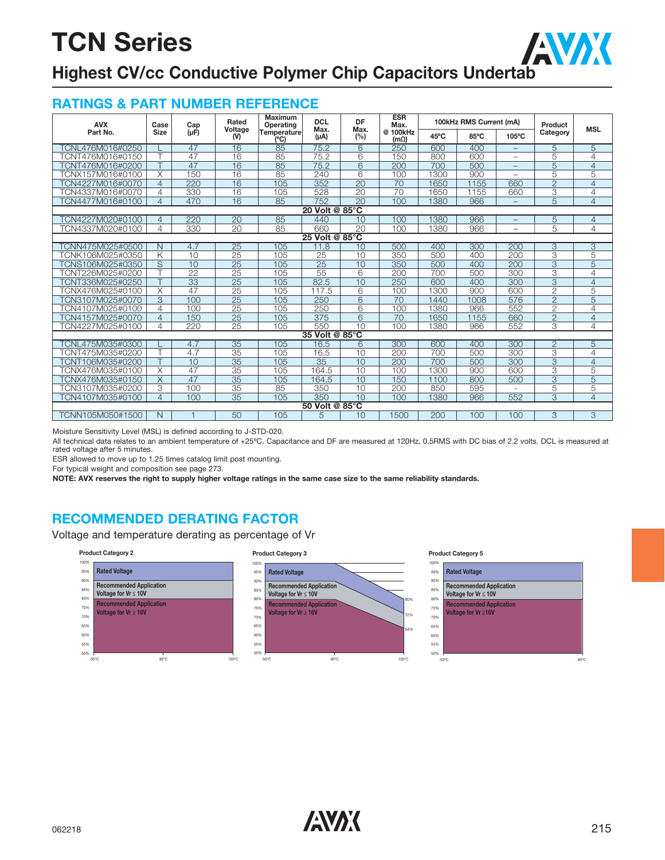

## **Highest CV/cc Conductive Polymer Chip Capacitors Undertab**

### **RATINGS & PART NUMBER REFERENCE**

| <b>AVX</b>       | Case                    | Cap             | Rated           | <b>Maximum</b><br>Operating | <b>DCL</b><br>Max. | DF<br>Max.      | <b>ESR</b><br>Max.      |      | 100kHz RMS Current (mA) |                          | Product                  | <b>MSL</b>     |
|------------------|-------------------------|-----------------|-----------------|-----------------------------|--------------------|-----------------|-------------------------|------|-------------------------|--------------------------|--------------------------|----------------|
| Part No.         | <b>Size</b>             | $(\mu F)$       | Voltage<br>(V)  | <b>Temperature</b><br>(°C)  | $(\mu A)$          | (%)             | @ 100kHz<br>$(m\Omega)$ | 45°C | 85°C                    | 105°C                    | Category                 |                |
| FCNL476M016#0250 |                         | 47              | 16              | 85                          | 75.2               | 6               | 250                     | 600  | 400                     | $-$                      | 5                        | 5              |
| TCNT476M016#0150 | т                       | 47              | 16              | 85                          | 75.2               | 6               | 150                     | 800  | 600                     | $\overline{\phantom{0}}$ | 5                        | $\overline{4}$ |
| TCNT476M016#0200 |                         | 47              | 16              | 85                          | 75.2               | 6               | 200                     | 700  | 500                     |                          | 5                        | $\overline{4}$ |
| TCNX157M016#0100 | $\overline{\mathsf{X}}$ | 150             | 16              | 85                          | 240                | $\overline{6}$  | 100                     | 1300 | 900                     | $\overline{\phantom{0}}$ | 5                        | $\overline{5}$ |
| TCN4227M016#0070 | 4                       | 220             | 16              | 105                         | 352                | 20              | 70                      | 1650 | 1155                    | 660                      | $\overline{2}$           | $\overline{4}$ |
| TCN4337M016#0070 | 4                       | 330             | 16              | 105                         | 528                | 20              | 70                      | 1650 | 1155                    | 660                      | 3                        | $\overline{4}$ |
| TCN4477M016#0100 | 4                       | 470             | $\overline{16}$ | 85                          | 752                | $\overline{20}$ | 100                     | 1380 | 966                     |                          | $\overline{5}$           | $\overline{4}$ |
| 20 Volt @ 85°C   |                         |                 |                 |                             |                    |                 |                         |      |                         |                          |                          |                |
| CN4227M020#0100  | 4                       | 220             | 20              | 85                          | 440                | 10              | 100                     | 380  | 966                     |                          | 5                        | $\overline{4}$ |
| TCN4337M020#0100 | 4                       | 330             | 20              | 85                          | 660                | $\overline{20}$ | 100                     | 380  | 966                     | $\overline{\phantom{0}}$ | 5                        | 4              |
| 25 Volt @ 85°C   |                         |                 |                 |                             |                    |                 |                         |      |                         |                          |                          |                |
| TCNN475M025#0500 | N                       | 4.7             | $\overline{25}$ | 105                         | 11.8               | 10              | 500                     | 400  | 300                     | 200                      | $\overline{3}$           | 3              |
| TCNK106M025#0350 | Κ                       | 10              | 25              | 105                         | 25                 | 10              | 350                     | 500  | 400                     | 200                      | 3                        | $\overline{5}$ |
| TCNS106M025#0350 | S                       | 10              | 25              | 105                         | 25                 | 10              | 350                     | 500  | 400                     | 200                      | 3                        | 5              |
| TCNT226M025#0200 | ┯                       | $\overline{22}$ | 25              | 105                         | 55                 | $\overline{6}$  | 200                     | 700  | 500                     | 300                      | 3                        | 4              |
| TCNT336M025#0250 |                         | $\overline{33}$ | $\overline{25}$ | 105                         | 82.5               | 10              | 250                     | 600  | 400                     | 300                      | $\overline{3}$           | $\overline{4}$ |
| TCNX476M025#0100 | X                       | 47              | 25              | 105                         | 117.5              | 6               | 100                     | 1300 | 900                     | 600                      | $\overline{2}$           | 5              |
| TCN3107M025#0070 | 3                       | 100             | $\overline{25}$ | 105                         | 250                | 6               | 70                      | 1440 | 1008                    | 576                      | $\overline{2}$           | $\overline{5}$ |
| TCN4107M025#0100 | 4                       | 100             | $\overline{25}$ | 105                         | 250                | 6               | 100                     | 1380 | 966                     | 552                      | $\overline{2}$           | $\overline{4}$ |
| TCN4157M025#0070 | 4                       | 150             | $\overline{25}$ | 105                         | 375                | 6               | 70                      | 650  | 1155                    | 660                      | $\overline{2}$           | $\overline{4}$ |
| TCN4227M025#0100 | 4                       | 220             | 25              | 105                         | 550                | 10              | 100                     | 1380 | 966                     | 552                      | 3                        | $\overline{4}$ |
|                  |                         |                 |                 |                             | 35 Volt @ 85°C     |                 |                         |      |                         |                          |                          |                |
| CNL475M035#0300  |                         | 4.7             | 35              | 105                         | 16.5               | $\overline{6}$  | 300                     | 600  | 400                     | 300                      | $\overline{2}$           | 5              |
| TCNT475M035#0200 |                         | 4.7             | 35              | 105                         | 16.5               | 10              | 200                     | 700  | 500                     | 300                      | 3                        | $\overline{4}$ |
| TCNT106M035#0200 |                         | 10              | 35              | 105                         | 35                 | 10              | 200                     | 700  | 500                     | 300                      | $\overline{3}$           | $\overline{4}$ |
| TCNX476M035#0100 | X                       | 47              | $\overline{35}$ | 105                         | 164.5              | 10              | 100                     | 1300 | 900                     | 600                      | 3                        | $\overline{5}$ |
| TCNX476M035#0150 | X                       | 47              | $\overline{35}$ | 105                         | 164.5              | 10              | 150                     | 1100 | 800                     | 500                      | $\overline{3}$           | $\overline{5}$ |
| TCN3107M035#0200 | 3                       | 100             | 35              | 85                          | 350                | 10              | 200                     | 850  | 595                     |                          | 5                        | $\overline{5}$ |
| FCN4107M035#0100 | 4                       | 100             | 35              | 105                         | 350                | 10              | 100                     | 1380 | 966                     | 552                      | $\overline{\mathcal{S}}$ | $\overline{4}$ |
|                  |                         |                 |                 |                             | 50 Volt @ 85°C     |                 |                         |      |                         |                          |                          |                |
| TCNN105M050#1500 | $\mathsf{N}$            |                 | 50              | 105                         | 5                  | 10              | 1500                    | 200  | 100                     | 100                      | 3                        | 3              |

Moisture Sensitivity Level (MSL) is defined according to J-STD-020.

All technical data relates to an ambient temperature of +25ºC. Capacitance and DF are measured at 120Hz, 0.5RMS with DC bias of 2.2 volts. DCL is measured at rated voltage after 5 minutes.

ESR allowed to move up to 1.25 times catalog limit post mounting.

For typical weight and composition see page 273.

**NOTE: AVX reserves the right to supply higher voltage ratings in the same case size to the same reliability standards.**

### **RECOMMENDED DERATING FACTOR**

Voltage and temperature derating as percentage of Vr

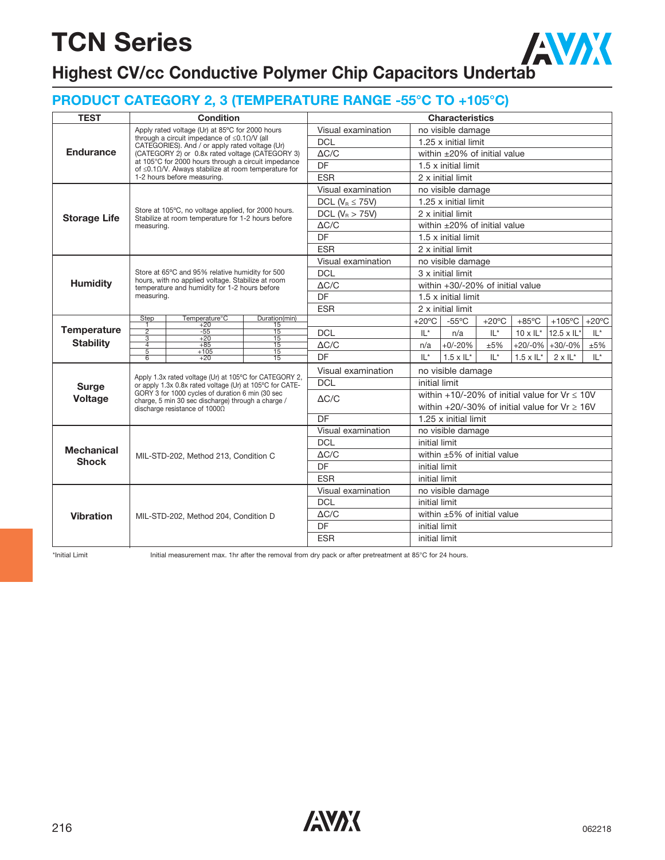AVAX **Highest CV/cc Conductive Polymer Chip Capacitors Undertab**

### **PRODUCT CATEGORY 2, 3 (TEMPERATURE RANGE -55°C TO +105°C)**

| <b>TEST</b>         |                                  | <b>Condition</b>                                                                                                  |                       |                       |                     |                                                   | <b>Characteristics</b>            |                 |                            |                             |                 |  |
|---------------------|----------------------------------|-------------------------------------------------------------------------------------------------------------------|-----------------------|-----------------------|---------------------|---------------------------------------------------|-----------------------------------|-----------------|----------------------------|-----------------------------|-----------------|--|
|                     |                                  | Apply rated voltage (Ur) at 85°C for 2000 hours                                                                   |                       | Visual examination    |                     |                                                   | no visible damage                 |                 |                            |                             |                 |  |
|                     |                                  | through a circuit impedance of $\leq 0.1 \Omega/V$ (all<br>CATEGORIES). And / or apply rated voltage (Ur)         |                       | <b>DCL</b>            |                     |                                                   | 1.25 x initial limit              |                 |                            |                             |                 |  |
| <b>Endurance</b>    |                                  | (CATEGORY 2) or 0.8x rated voltage (CATEGORY 3)                                                                   |                       | $\Delta C/C$          |                     | within $\pm 20\%$ of initial value                |                                   |                 |                            |                             |                 |  |
|                     |                                  | at 105°C for 2000 hours through a circuit impedance<br>of $\leq$ 0.10/V. Always stabilize at room temperature for |                       | DF                    |                     | $1.5 \times$ initial limit                        |                                   |                 |                            |                             |                 |  |
|                     |                                  | 1-2 hours before measuring.                                                                                       |                       | <b>ESR</b>            |                     | 2 x initial limit                                 |                                   |                 |                            |                             |                 |  |
|                     |                                  |                                                                                                                   |                       | Visual examination    |                     | no visible damage                                 |                                   |                 |                            |                             |                 |  |
|                     |                                  |                                                                                                                   |                       | DCL ( $V_R \le 75V$ ) |                     | 1.25 x initial limit                              |                                   |                 |                            |                             |                 |  |
| <b>Storage Life</b> |                                  | Store at 105°C, no voltage applied, for 2000 hours.<br>Stabilize at room temperature for 1-2 hours before         | DCL ( $V_R > 75V$ )   |                       |                     | 2 x initial limit                                 |                                   |                 |                            |                             |                 |  |
|                     | measuring.                       |                                                                                                                   | $\Delta C/C$          |                       |                     | within $\pm 20\%$ of initial value                |                                   |                 |                            |                             |                 |  |
|                     |                                  |                                                                                                                   | <b>DF</b>             |                       |                     | 1.5 x initial limit                               |                                   |                 |                            |                             |                 |  |
|                     |                                  |                                                                                                                   | <b>ESR</b>            |                       |                     | 2 x initial limit                                 |                                   |                 |                            |                             |                 |  |
|                     |                                  |                                                                                                                   |                       | Visual examination    |                     |                                                   | no visible damage                 |                 |                            |                             |                 |  |
| <b>Humidity</b>     |                                  | Store at 65°C and 95% relative humidity for 500<br>hours, with no applied voltage. Stabilize at room              |                       | DCL                   |                     |                                                   | 3 x initial limit                 |                 |                            |                             |                 |  |
|                     |                                  | temperature and humidity for 1-2 hours before                                                                     |                       | $\Delta C/C$          |                     | within +30/-20% of initial value                  |                                   |                 |                            |                             |                 |  |
|                     | measuring.                       |                                                                                                                   | DF                    |                       | 1.5 x initial limit |                                                   |                                   |                 |                            |                             |                 |  |
|                     |                                  |                                                                                                                   |                       | <b>ESR</b>            |                     | 2 x initial limit                                 |                                   |                 |                            |                             |                 |  |
|                     | Step<br>1                        | Temperature°C<br>$+20$                                                                                            | Duration(min)<br>15   |                       |                     | +20 $\degree$ C                                   | $-55^{\circ}$ C                   | $+20^{\circ}$ C | $+85^{\circ}$ C            | $+105^{\circ}$ C            | $+20^{\circ}$ C |  |
| <b>Temperature</b>  | $\frac{1}{2}$<br>$\overline{3}$  | $-55$<br>$+20$                                                                                                    | 15<br>$\overline{15}$ | <b>DCL</b>            |                     | $IL^*$                                            | n/a                               | $L^*$           |                            | $10 \times I$ L* 12.5 x IL* | $L^*$           |  |
| <b>Stability</b>    | $\overline{4}$<br>$\overline{5}$ | $+85$<br>$+105$                                                                                                   | 15<br>$\overline{15}$ | $\Delta C/C$          |                     | n/a                                               | $+0/-20%$                         | ±5%             |                            | $+20/-0\%$ +30/-0%          | ±5%             |  |
|                     | $\overline{6}$                   | $+20$                                                                                                             | 15                    | DF                    |                     | $IL^*$                                            | $1.5 \times IL^*$                 | $L^*$           | $1.5 \times \mathsf{IL}^*$ | $2 \times 11^{*}$           | $L^*$           |  |
|                     |                                  | Apply 1.3x rated voltage (Ur) at 105°C for CATEGORY 2,                                                            |                       | Visual examination    |                     | no visible damage                                 |                                   |                 |                            |                             |                 |  |
| <b>Surge</b>        |                                  | or apply 1.3x 0.8x rated voltage (Ur) at 105°C for CATE-                                                          |                       | <b>DCL</b>            |                     |                                                   | initial limit                     |                 |                            |                             |                 |  |
| <b>Voltage</b>      |                                  | GORY 3 for 1000 cycles of duration 6 min (30 sec<br>charge, 5 min 30 sec discharge) through a charge /            |                       | $\Delta C/C$          |                     | within +10/-20% of initial value for $Vr \le 10V$ |                                   |                 |                            |                             |                 |  |
|                     |                                  | discharge resistance of 10000                                                                                     |                       |                       |                     | within +20/-30% of initial value for $Vr \ge 16V$ |                                   |                 |                            |                             |                 |  |
|                     |                                  |                                                                                                                   |                       | $\overline{DF}$       |                     | 1.25 x initial limit                              |                                   |                 |                            |                             |                 |  |
|                     |                                  |                                                                                                                   |                       | Visual examination    |                     | no visible damage                                 |                                   |                 |                            |                             |                 |  |
| <b>Mechanical</b>   |                                  |                                                                                                                   |                       | <b>DCL</b>            |                     | initial limit                                     |                                   |                 |                            |                             |                 |  |
| <b>Shock</b>        |                                  | MIL-STD-202, Method 213, Condition C                                                                              |                       | $\Delta C/C$          |                     |                                                   | within $\pm 5\%$ of initial value |                 |                            |                             |                 |  |
|                     |                                  |                                                                                                                   |                       | DF                    |                     | initial limit                                     |                                   |                 |                            |                             |                 |  |
|                     |                                  |                                                                                                                   |                       | <b>ESR</b>            |                     | initial limit                                     |                                   |                 |                            |                             |                 |  |
|                     |                                  |                                                                                                                   |                       | Visual examination    |                     |                                                   | no visible damage                 |                 |                            |                             |                 |  |
|                     |                                  |                                                                                                                   |                       | <b>DCL</b>            |                     | initial limit                                     |                                   |                 |                            |                             |                 |  |
| <b>Vibration</b>    |                                  | MIL-STD-202, Method 204, Condition D                                                                              |                       | $\Delta C/C$          |                     |                                                   | within $\pm 5\%$ of initial value |                 |                            |                             |                 |  |
|                     |                                  |                                                                                                                   |                       | DF                    |                     | initial limit                                     |                                   |                 |                            |                             |                 |  |
|                     |                                  |                                                                                                                   | <b>ESR</b>            |                       | initial limit       |                                                   |                                   |                 |                            |                             |                 |  |

\*Initial Limit Initial measurement max. 1hr after the removal from dry pack or after pretreatment at 85°C for 24 hours.